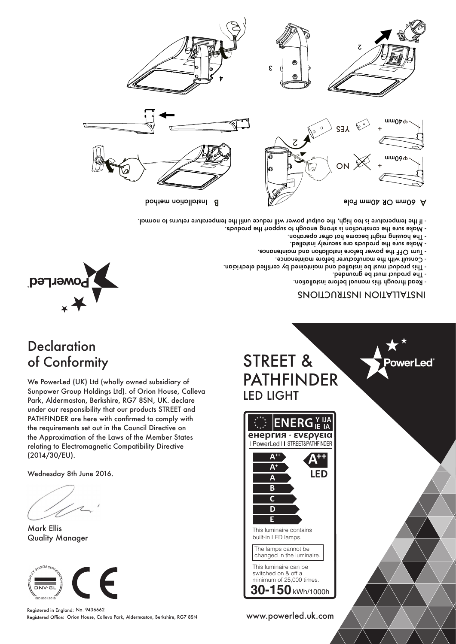We PowerLed (UK) Ltd (wholly owned subsidiary of Sunpower Group Holdings Ltd). of Orion House, Calleva Park, Aldermaston, Berkshire, RG7 8SN, UK. declare under our responsibility that our products STREET and PATHFINDER are here with confirmed to comply with the requirements set out in the Council Directive on the Approximation of the Laws of the Member States relating to Electromagnetic Compatibility Directive

(2014/30/EU).

**Declaration** 

peruel<sub>c</sub>ed

of Conformity

Mark Ellis

 $\n *DNN*$ ⊾<br>ISO 9001:201<sup>1</sup>

Quality Manager

Wednesday 8th June 2016.



This luminaire contains built-in LED lamps.



**Y IJA** ER **IE IA енергия · ενεργεια** I PowerLed II STREET&PATHFINDER

STREET & PATHFINDER LED LIGHT

5

ट

- If the temperature is too high, the output power will reduce until the temperature returns to normal.

A

B Institution method

# INSTALLATION INSTRUCTIONS

- Read through this manual before installation. - The product must be grounded.

owerLed

Blo<sup>4</sup> mm<sup>O</sup>k *H*O mmOo A

աաըջ ժ

φ 40mm

- 
- 
- 
- 
- 
- The housing might become hot after operation.
- 
- - Make sure the products are securely installed.
	-
	-
	-
	-
	-
	-
	-
	-
	-
	-
- 
- 
- 
- 
- 
- 
- 
- 
- 
- 
- 
- 
- 
- 
- 
- 
- 

- 
- 

ON  $X^{\times}$  +

YES +

ट

- 
- 
- 
- 
- 
- 
- 
- 
- 
- 
- 



- Turn OFF the power before installation and maintenance.

- Consult with the manufacturer before maintenance.
- 

- Wake sure the construction is strong enough to support the products.

- -
	-
- This product must be installed and maintained by certified electrician.
- 
- 
-